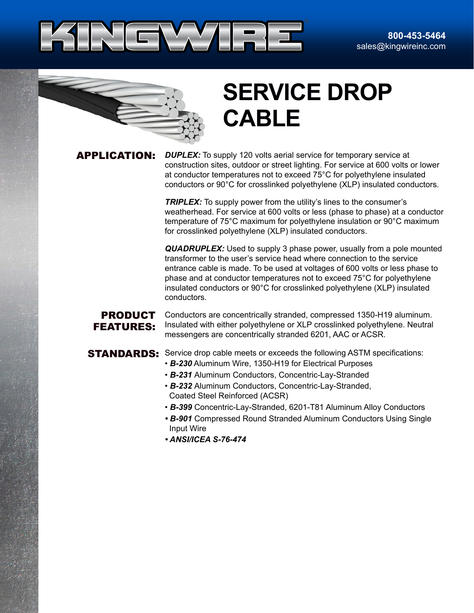



# **SERVICE DROP CABLE**

APPLICATION: *DUPLEX:* To supply 120 volts aerial service for temporary service at construction sites, outdoor or street lighting. For service at 600 volts or lower at conductor temperatures not to exceed 75°C for polyethylene insulated conductors or 90°C for crosslinked polyethylene (XLP) insulated conductors.

> **TRIPLEX:** To supply power from the utility's lines to the consumer's weatherhead. For service at 600 volts or less (phase to phase) at a conductor temperature of 75°C maximum for polyethylene insulation or 90°C maximum for crosslinked polyethylene (XLP) insulated conductors.

> *QUADRUPLEX:* Used to supply 3 phase power, usually from a pole mounted transformer to the user's service head where connection to the service entrance cable is made. To be used at voltages of 600 volts or less phase to phase and at conductor temperatures not to exceed 75°C for polyethylene insulated conductors or 90°C for crosslinked polyethylene (XLP) insulated conductors.

### PRODUCT FEATURES:

Conductors are concentrically stranded, compressed 1350-H19 aluminum. Insulated with either polyethylene or XLP crosslinked polyethylene. Neutral messengers are concentrically stranded 6201, AAC or ACSR.

## **STANDARDS:** Service drop cable meets or exceeds the following ASTM specifications:

- *B-230* Aluminum Wire, 1350-H19 for Electrical Purposes
- *B-231* Aluminum Conductors, Concentric-Lay-Stranded
- *B-232* Aluminum Conductors, Concentric-Lay-Stranded, Coated Steel Reinforced (ACSR)
- *B-399* Concentric-Lay-Stranded, 6201-T81 Aluminum Alloy Conductors
- *B-901* Compressed Round Stranded Aluminum Conductors Using Single Input Wire
- *ANSI/ICEA S-76-474*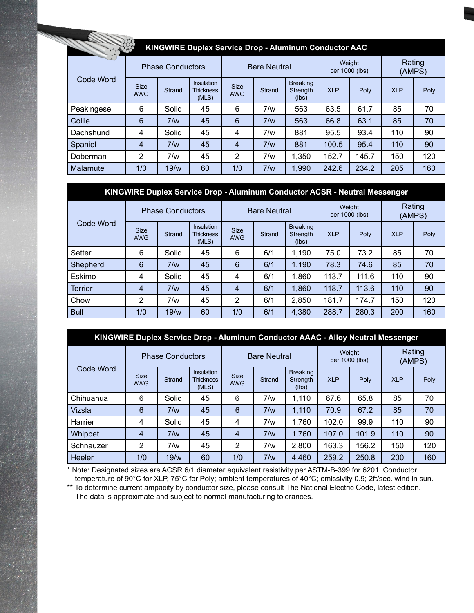|                 |                           |                         | <b>KINGWIRE Duplex Service Drop - Aluminum Conductor AAC</b> |                           |               |                                      |                          |       |                  |      |
|-----------------|---------------------------|-------------------------|--------------------------------------------------------------|---------------------------|---------------|--------------------------------------|--------------------------|-------|------------------|------|
|                 |                           | <b>Phase Conductors</b> |                                                              | <b>Bare Neutral</b>       |               |                                      | Weight<br>per 1000 (lbs) |       | Rating<br>(AMPS) |      |
| Code Word       | <b>Size</b><br><b>AWG</b> | <b>Strand</b>           | <b>Insulation</b><br><b>Thickness</b><br>(MLS)               | <b>Size</b><br><b>AWG</b> | <b>Strand</b> | <b>Breaking</b><br>Strength<br>(lbs) | <b>XLP</b>               | Poly  | <b>XLP</b>       | Poly |
| Peakingese      | 6                         | Solid                   | 45                                                           | 6                         | 7/w           | 563                                  | 63.5                     | 61.7  | 85               | 70   |
| Collie          | 6                         | 7/w                     | 45                                                           | $6\phantom{1}6$           | 7/w           | 563                                  | 66.8                     | 63.1  | 85               | 70   |
| Dachshund       | 4                         | Solid                   | 45                                                           | 4                         | 7/w           | 881                                  | 95.5                     | 93.4  | 110              | 90   |
| Spaniel         | 4                         | 7/w                     | 45                                                           | 4                         | 7/w           | 881                                  | 100.5                    | 95.4  | 110              | 90   |
| Doberman        | 2                         | 7/w                     | 45                                                           | 2                         | 7/w           | 1,350                                | 152.7                    | 145.7 | 150              | 120  |
| <b>Malamute</b> | 1/0                       | 19/w                    | 60                                                           | 1/0                       | 7/w           | 1,990                                | 242.6                    | 234.2 | 205              | 160  |

# **KINGWIRE Duplex Service Drop - Aluminum Conductor ACSR - Neutral Messenger**

| Code Word      | <b>Phase Conductors</b>   |               |                                         |                           | <b>Bare Neutral</b> |                                      | per 1000 (lbs) | Weight | Rating<br>(AMPS) |      |
|----------------|---------------------------|---------------|-----------------------------------------|---------------------------|---------------------|--------------------------------------|----------------|--------|------------------|------|
|                | <b>Size</b><br><b>AWG</b> | <b>Strand</b> | Insulation<br><b>Thickness</b><br>(MLS) | <b>Size</b><br><b>AWG</b> | <b>Strand</b>       | <b>Breaking</b><br>Strength<br>(lbs) | <b>XLP</b>     | Poly   | <b>XLP</b>       | Poly |
| Setter         | 6                         | Solid         | 45                                      | 6                         | 6/1                 | 1,190                                | 75.0           | 73.2   | 85               | 70   |
| Shepherd       | 6                         | 7/w           | 45                                      | $6\phantom{1}6$           | 6/1                 | 1,190                                | 78.3           | 74.6   | 85               | 70   |
| Eskimo         | 4                         | Solid         | 45                                      | 4                         | 6/1                 | 1,860                                | 113.7          | 111.6  | 110              | 90   |
| <b>Terrier</b> | $\overline{4}$            | 7/w           | 45                                      | $\overline{4}$            | 6/1                 | 1,860                                | 118.7          | 113.6  | 110              | 90   |
| Chow           | 2                         | 7/w           | 45                                      | 2                         | 6/1                 | 2,850                                | 181.7          | 174.7  | 150              | 120  |
| <b>Bull</b>    | 1/0                       | 19/w          | 60                                      | 1/0                       | 6/1                 | 4,380                                | 288.7          | 280.3  | 200              | 160  |

| KINGWIRE Duplex Service Drop - Aluminum Conductor AAAC - Alloy Neutral Messenger |                           |                         |                                                |                           |                     |                                      |                          |       |                  |      |  |  |  |
|----------------------------------------------------------------------------------|---------------------------|-------------------------|------------------------------------------------|---------------------------|---------------------|--------------------------------------|--------------------------|-------|------------------|------|--|--|--|
|                                                                                  |                           | <b>Phase Conductors</b> |                                                |                           | <b>Bare Neutral</b> |                                      | Weight<br>per 1000 (lbs) |       | Rating<br>(AMPS) |      |  |  |  |
| Code Word                                                                        | <b>Size</b><br><b>AWG</b> | Strand                  | <b>Insulation</b><br><b>Thickness</b><br>(MLS) | <b>Size</b><br><b>AWG</b> | Strand              | <b>Breaking</b><br>Strength<br>(lbs) | <b>XLP</b>               | Poly  | <b>XLP</b>       | Poly |  |  |  |
| Chihuahua                                                                        | 6                         | Solid                   | 45                                             | 6                         | 7/w                 | 1,110                                | 67.6                     | 65.8  | 85               | 70   |  |  |  |
| Vizsla                                                                           | 6                         | 7/w                     | 45                                             | 6                         | 7/w                 | 1,110                                | 70.9                     | 67.2  | 85               | 70   |  |  |  |
| Harrier                                                                          | 4                         | Solid                   | 45                                             | 4                         | 7/w                 | 1,760                                | 102.0                    | 99.9  | 110              | 90   |  |  |  |
| Whippet                                                                          | $\overline{4}$            | 7/w                     | 45                                             | $\overline{4}$            | 7/w                 | 1,760                                | 107.0                    | 101.9 | 110              | 90   |  |  |  |
| Schnauzer                                                                        | 2                         | 7/w                     | 45                                             | 2                         | 7/w                 | 2,800                                | 163.3                    | 156.2 | 150              | 120  |  |  |  |
| Heeler                                                                           | 1/0                       | 19/w                    | 60                                             | 1/0                       | 7/w                 | 4,460                                | 259.2                    | 250.8 | 200              | 160  |  |  |  |

\* Note: Designated sizes are ACSR 6/1 diameter equivalent resistivity per ASTM-B-399 for 6201. Conductor temperature of 90°C for XLP, 75°C for Poly; ambient temperatures of 40°C; emissivity 0.9; 2ft/sec. wind in sun.

\*\* To determine current ampacity by conductor size, please consult The National Electric Code, latest edition. The data is approximate and subject to normal manufacturing tolerances.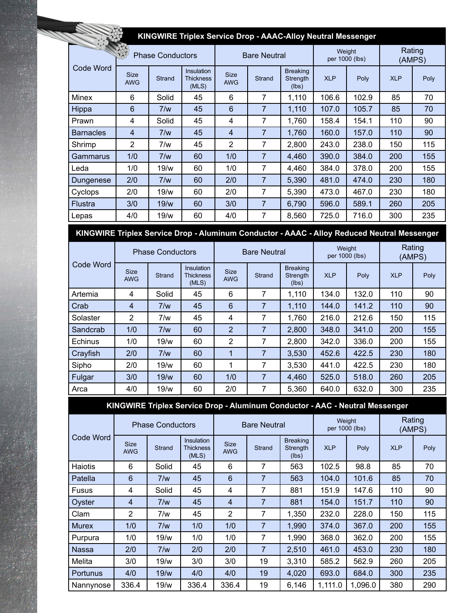|                  | KINGWIRE Triplex Service Drop - AAAC-Alloy Neutral Messenger |                         |                                         |                           |                     |                                      |            |                          |                  |      |  |  |  |
|------------------|--------------------------------------------------------------|-------------------------|-----------------------------------------|---------------------------|---------------------|--------------------------------------|------------|--------------------------|------------------|------|--|--|--|
|                  |                                                              | <b>Phase Conductors</b> |                                         |                           | <b>Bare Neutral</b> |                                      |            | Weight<br>per 1000 (lbs) | Rating<br>(AMPS) |      |  |  |  |
| Code Word        | <b>Size</b><br><b>AWG</b>                                    | Strand                  | Insulation<br><b>Thickness</b><br>(MLS) | <b>Size</b><br><b>AWG</b> | Strand              | <b>Breaking</b><br>Strength<br>(lbs) | <b>XLP</b> | Poly                     | <b>XLP</b>       | Poly |  |  |  |
| Minex            | 6                                                            | Solid                   | 45                                      | 6                         | 7                   | 1,110                                | 106.6      | 102.9                    | 85               | 70   |  |  |  |
| Hippa            | 6                                                            | 7/w                     | 45                                      | 6                         | 7                   | 1,110                                | 107.0      | 105.7                    | 85               | 70   |  |  |  |
| Prawn            | 4                                                            | Solid                   | 45                                      | 4                         | 7                   | 1,760                                | 158.4      | 154.1                    | 110              | 90   |  |  |  |
| <b>Barnacles</b> | 4                                                            | 7/w                     | 45                                      | $\overline{4}$            | 7                   | 1,760                                | 160.0      | 157.0                    | 110              | 90   |  |  |  |
| Shrimp           | 2                                                            | 7/w                     | 45                                      | 2                         | 7                   | 2,800                                | 243.0      | 238.0                    | 150              | 115  |  |  |  |
| Gammarus         | 1/0                                                          | 7/w                     | 60                                      | 1/0                       | 7                   | 4,460                                | 390.0      | 384.0                    | 200              | 155  |  |  |  |
| Leda             | 1/0                                                          | 19/w                    | 60                                      | 1/0                       | 7                   | 4,460                                | 384.0      | 378.0                    | 200              | 155  |  |  |  |
| Dungenese        | 2/0                                                          | 7/w                     | 60                                      | 2/0                       | 7                   | 5,390                                | 481.0      | 474.0                    | 230              | 180  |  |  |  |
| Cyclops          | 2/0                                                          | 19/w                    | 60                                      | 2/0                       | 7                   | 5,390                                | 473.0      | 467.0                    | 230              | 180  |  |  |  |
| Flustra          | 3/0                                                          | 19/w                    | 60                                      | 3/0                       | 7                   | 6,790                                | 596.0      | 589.1                    | 260              | 205  |  |  |  |
| Lepas            | 4/0                                                          | 19/w                    | 60                                      | 4/0                       | 7                   | 8,560                                | 725.0      | 716.0                    | 300              | 235  |  |  |  |

**KINGWIRE Triplex Service Drop - Aluminum Conductor - AAAC - Alloy Reduced Neutral Messenger**

| Code Word |                           | <b>Phase Conductors</b> |                                         |                           | <b>Bare Neutral</b> |                                      | Weight     | per 1000 (lbs) | Rating<br>(AMPS) |      |
|-----------|---------------------------|-------------------------|-----------------------------------------|---------------------------|---------------------|--------------------------------------|------------|----------------|------------------|------|
|           | <b>Size</b><br><b>AWG</b> | Strand                  | Insulation<br><b>Thickness</b><br>(MLS) | <b>Size</b><br><b>AWG</b> | <b>Strand</b>       | <b>Breaking</b><br>Strength<br>(lbs) | <b>XLP</b> | Poly           | <b>XLP</b>       | Poly |
| Artemia   | 4                         | Solid                   | 45                                      | 6                         | 7                   | 1,110                                | 134.0      | 132.0          | 110              | 90   |
| Crab      | 4                         | 7/w                     | 45                                      | 6                         | 7                   | 1,110                                | 144.0      | 141.2          | 110              | 90   |
| Solaster  | 2                         | 7/w                     | 45                                      | 4                         | 7                   | 1,760                                | 216.0      | 212.6          | 150              | 115  |
| Sandcrab  | 1/0                       | 7/w                     | 60                                      | $\overline{2}$            | 7                   | 2,800                                | 348.0      | 341.0          | 200              | 155  |
| Echinus   | 1/0                       | 19/w                    | 60                                      | 2                         | 7                   | 2,800                                | 342.0      | 336.0          | 200              | 155  |
| Crayfish  | 2/0                       | 7/w                     | 60                                      | 1                         | 7                   | 3,530                                | 452.6      | 422.5          | 230              | 180  |
| Sipho     | 2/0                       | 19/w                    | 60                                      | 1                         | 7                   | 3,530                                | 441.0      | 422.5          | 230              | 180  |
| Fulgar    | 3/0                       | 19/w                    | 60                                      | 1/0                       | 7                   | 4,460                                | 525.0      | 518.0          | 260              | 205  |
| Arca      | 4/0                       | 19/w                    | 60                                      | 2/0                       | 7                   | 5,360                                | 640.0      | 632.0          | 300              | 235  |

**KINGWIRE Triplex Service Drop - Aluminum Conductor - AAC - Neutral Messenger**

|              |                           | <b>Phase Conductors</b> |                                                |                           | <b>Bare Neutral</b> |                                      |            | Weight<br>per 1000 (lbs) | Rating<br>(AMPS) |      |
|--------------|---------------------------|-------------------------|------------------------------------------------|---------------------------|---------------------|--------------------------------------|------------|--------------------------|------------------|------|
| Code Word    | <b>Size</b><br><b>AWG</b> | <b>Strand</b>           | <b>Insulation</b><br><b>Thickness</b><br>(MLS) | <b>Size</b><br><b>AWG</b> | <b>Strand</b>       | <b>Breaking</b><br>Strength<br>(lbs) | <b>XLP</b> | Poly                     | <b>XLP</b>       | Poly |
| Haiotis      | 6                         | Solid                   | 45                                             | 6                         | 7                   | 563                                  | 102.5      | 98.8                     | 85               | 70   |
| Patella      | 6                         | 7/w                     | 45                                             | 6                         | 7                   | 563                                  | 104.0      | 101.6                    | 85               | 70   |
| <b>Fusus</b> | 4                         | Solid                   | 45                                             | 4                         | 7                   | 881                                  | 151.9      | 147.6                    | 110              | 90   |
| Oyster       | 4                         | 7/w                     | 45                                             | 4                         | 7                   | 881                                  | 154.0      | 151.7                    | 110              | 90   |
| Clam         | 2                         | 7/w                     | 45                                             | 2                         | 7                   | 1,350                                | 232.0      | 228.0                    | 150              | 115  |
| <b>Murex</b> | 1/0                       | 7/w                     | 1/0                                            | 1/0                       | 7                   | 1,990                                | 374.0      | 367.0                    | 200              | 155  |
| Purpura      | 1/0                       | 19/w                    | 1/0                                            | 1/0                       | 7                   | 1,990                                | 368.0      | 362.0                    | 200              | 155  |
| Nassa        | 2/0                       | 7/w                     | 2/0                                            | 2/0                       | 7                   | 2.510                                | 461.0      | 453.0                    | 230              | 180  |
| Melita       | 3/0                       | 19/w                    | 3/0                                            | 3/0                       | 19                  | 3,310                                | 585.2      | 562.9                    | 260              | 205  |
| Portunus     | 4/0                       | 19/w                    | 4/0                                            | 4/0                       | 19                  | 4,020                                | 693.0      | 684.0                    | 300              | 235  |
| Nannynose    | 336.4                     | 19/w                    | 336.4                                          | 336.4                     | 19                  | 6,146                                | 1,111.0    | 1,096.0                  | 380              | 290  |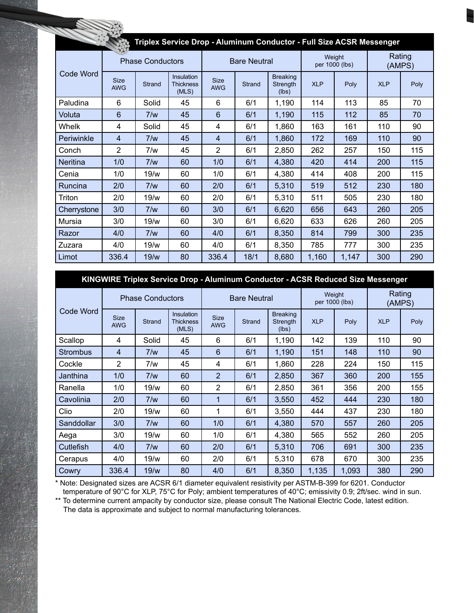| Triplex Service Drop - Aluminum Conductor - Full Size ACSR Messenger |                           |                         |                                         |                           |                     |                                      |            |                          |                  |      |  |  |
|----------------------------------------------------------------------|---------------------------|-------------------------|-----------------------------------------|---------------------------|---------------------|--------------------------------------|------------|--------------------------|------------------|------|--|--|
|                                                                      |                           | <b>Phase Conductors</b> |                                         |                           | <b>Bare Neutral</b> |                                      |            | Weight<br>per 1000 (lbs) | Rating<br>(AMPS) |      |  |  |
| Code Word                                                            | <b>Size</b><br><b>AWG</b> | <b>Strand</b>           | Insulation<br><b>Thickness</b><br>(MLS) | <b>Size</b><br><b>AWG</b> | Strand              | <b>Breaking</b><br>Strength<br>(lbs) | <b>XLP</b> | Poly                     | <b>XLP</b>       | Poly |  |  |
| Paludina                                                             | 6                         | Solid                   | 45                                      | 6                         | 6/1                 | 1,190                                | 114        | 113                      | 85               | 70   |  |  |
| Voluta                                                               | 6                         | 7/w                     | 45                                      | 6                         | 6/1                 | 1,190                                | 115        | 112                      | 85               | 70   |  |  |
| Whelk                                                                | 4                         | Solid                   | 45                                      | 4                         | 6/1                 | 1,860                                | 163        | 161                      | 110              | 90   |  |  |
| Periwinkle                                                           | $\overline{4}$            | 7/w                     | 45                                      | 4                         | 6/1                 | 1,860                                | 172        | 169                      | 110              | 90   |  |  |
| Conch                                                                | 2                         | 7/w                     | 45                                      | $\overline{2}$            | 6/1                 | 2,850                                | 262        | 257                      | 150              | 115  |  |  |
| <b>Neritina</b>                                                      | 1/0                       | 7/w                     | 60                                      | 1/0                       | 6/1                 | 4,380                                | 420        | 414                      | 200              | 115  |  |  |
| Cenia                                                                | 1/0                       | 19/w                    | 60                                      | 1/0                       | 6/1                 | 4,380                                | 414        | 408                      | 200              | 115  |  |  |
| Runcina                                                              | 2/0                       | 7/w                     | 60                                      | 2/0                       | 6/1                 | 5,310                                | 519        | 512                      | 230              | 180  |  |  |
| Triton                                                               | 2/0                       | 19/w                    | 60                                      | 2/0                       | 6/1                 | 5,310                                | 511        | 505                      | 230              | 180  |  |  |
| Cherrystone                                                          | 3/0                       | 7/w                     | 60                                      | 3/0                       | 6/1                 | 6,620                                | 656        | 643                      | 260              | 205  |  |  |
| Mursia                                                               | 3/0                       | 19/w                    | 60                                      | 3/0                       | 6/1                 | 6,620                                | 633        | 626                      | 260              | 205  |  |  |
| Razor                                                                | 4/0                       | 7/w                     | 60                                      | 4/0                       | 6/1                 | 8,350                                | 814        | 799                      | 300              | 235  |  |  |
| Zuzara                                                               | 4/0                       | 19/w                    | 60                                      | 4/0                       | 6/1                 | 8,350                                | 785        | 777                      | 300              | 235  |  |  |
| Limot                                                                | 336.4                     | 19/w                    | 80                                      | 336.4                     | 18/1                | 8,680                                | 1,160      | 1,147                    | 300              | 290  |  |  |

|                 | KINGWIRE Triplex Service Drop - Aluminum Conductor - ACSR Reduced Size Messenger |                         |                                         |                           |                     |                                      |            |                          |                  |      |  |  |  |
|-----------------|----------------------------------------------------------------------------------|-------------------------|-----------------------------------------|---------------------------|---------------------|--------------------------------------|------------|--------------------------|------------------|------|--|--|--|
|                 |                                                                                  | <b>Phase Conductors</b> |                                         |                           | <b>Bare Neutral</b> |                                      |            | Weight<br>per 1000 (lbs) | Rating<br>(AMPS) |      |  |  |  |
| Code Word       | Size<br><b>AWG</b>                                                               | <b>Strand</b>           | Insulation<br><b>Thickness</b><br>(MLS) | <b>Size</b><br><b>AWG</b> | Strand              | <b>Breaking</b><br>Strength<br>(lbs) | <b>XLP</b> | Poly                     | <b>XLP</b>       | Poly |  |  |  |
| Scallop         | 4                                                                                | Solid                   | 45                                      | 6                         | 6/1                 | 1,190                                | 142        | 139                      | 110              | 90   |  |  |  |
| <b>Strombus</b> | $\overline{4}$                                                                   | 7/w                     | 45                                      | 6                         | 6/1                 | 1,190                                | 151        | 148                      | 110              | 90   |  |  |  |
| Cockle          | $\overline{2}$                                                                   | 7/w                     | 45                                      | 4                         | 6/1                 | 1,860                                | 228        | 224                      | 150              | 115  |  |  |  |
| Janthina        | 1/0                                                                              | 7/w                     | 60                                      | $\overline{2}$            | 6/1                 | 2,850                                | 367        | 360                      | 200              | 155  |  |  |  |
| Ranella         | 1/0                                                                              | 19/w                    | 60                                      | $\overline{2}$            | 6/1                 | 2,850                                | 361        | 356                      | 200              | 155  |  |  |  |
| Cavolinia       | 2/0                                                                              | 7/w                     | 60                                      | 1                         | 6/1                 | 3,550                                | 452        | 444                      | 230              | 180  |  |  |  |
| Clio            | 2/0                                                                              | 19/w                    | 60                                      | 1                         | 6/1                 | 3,550                                | 444        | 437                      | 230              | 180  |  |  |  |
| Sanddollar      | 3/0                                                                              | 7/w                     | 60                                      | 1/0                       | 6/1                 | 4,380                                | 570        | 557                      | 260              | 205  |  |  |  |
| Aega            | 3/0                                                                              | 19/w                    | 60                                      | 1/0                       | 6/1                 | 4,380                                | 565        | 552                      | 260              | 205  |  |  |  |
| Cutlefish       | 4/0                                                                              | 7/w                     | 60                                      | 2/0                       | 6/1                 | 5,310                                | 706        | 691                      | 300              | 235  |  |  |  |
| Cerapus         | 4/0                                                                              | 19/w                    | 60                                      | 2/0                       | 6/1                 | 5,310                                | 678        | 670                      | 300              | 235  |  |  |  |
| Cowry           | 336.4                                                                            | 19/w                    | 80                                      | 4/0                       | 6/1                 | 8,350                                | 1,135      | 1,093                    | 380              | 290  |  |  |  |

\* Note: Designated sizes are ACSR 6/1 diameter equivalent resistivity per ASTM-B-399 for 6201. Conductor temperature of 90°C for XLP, 75°C for Poly; ambient temperatures of 40°C; emissivity 0.9; 2ft/sec. wind in sun.

\*\* To determine current ampacity by conductor size, please consult The National Electric Code, latest edition. The data is approximate and subject to normal manufacturing tolerances.